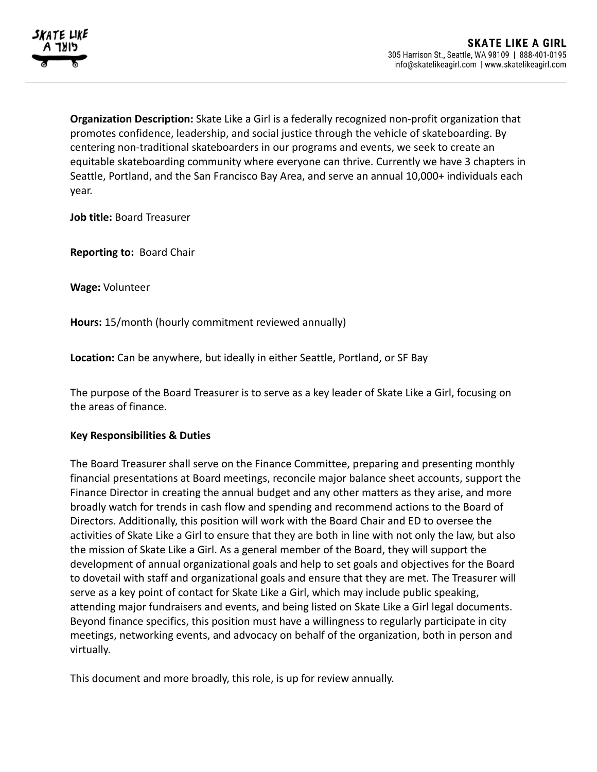**Organization Description:** Skate Like a Girl is a federally recognized non-profit organization that promotes confidence, leadership, and social justice through the vehicle of skateboarding. By centering non-traditional skateboarders in our programs and events, we seek to create an equitable skateboarding community where everyone can thrive. Currently we have 3 chapters in Seattle, Portland, and the San Francisco Bay Area, and serve an annual 10,000+ individuals each year.

**Job title:** Board Treasurer

**Reporting to:** Board Chair

**Wage:** Volunteer

**Hours:** 15/month (hourly commitment reviewed annually)

**Location:** Can be anywhere, but ideally in either Seattle, Portland, or SF Bay

The purpose of the Board Treasurer is to serve as a key leader of Skate Like a Girl, focusing on the areas of finance.

## **Key Responsibilities & Duties**

The Board Treasurer shall serve on the Finance Committee, preparing and presenting monthly financial presentations at Board meetings, reconcile major balance sheet accounts, support the Finance Director in creating the annual budget and any other matters as they arise, and more broadly watch for trends in cash flow and spending and recommend actions to the Board of Directors. Additionally, this position will work with the Board Chair and ED to oversee the activities of Skate Like a Girl to ensure that they are both in line with not only the law, but also the mission of Skate Like a Girl. As a general member of the Board, they will support the development of annual organizational goals and help to set goals and objectives for the Board to dovetail with staff and organizational goals and ensure that they are met. The Treasurer will serve as a key point of contact for Skate Like a Girl, which may include public speaking, attending major fundraisers and events, and being listed on Skate Like a Girl legal documents. Beyond finance specifics, this position must have a willingness to regularly participate in city meetings, networking events, and advocacy on behalf of the organization, both in person and virtually.

This document and more broadly, this role, is up for review annually.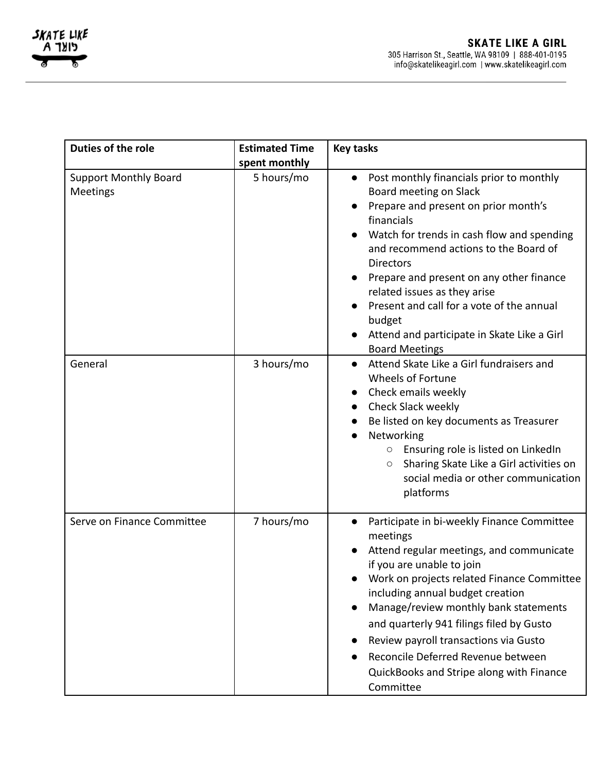| Duties of the role                              | <b>Estimated Time</b><br>spent monthly | <b>Key tasks</b>                                                                                                                                                                                                                                                                                                                                                                                                                                            |
|-------------------------------------------------|----------------------------------------|-------------------------------------------------------------------------------------------------------------------------------------------------------------------------------------------------------------------------------------------------------------------------------------------------------------------------------------------------------------------------------------------------------------------------------------------------------------|
| <b>Support Monthly Board</b><br><b>Meetings</b> | 5 hours/mo                             | Post monthly financials prior to monthly<br>$\bullet$<br>Board meeting on Slack<br>Prepare and present on prior month's<br>financials<br>Watch for trends in cash flow and spending<br>and recommend actions to the Board of<br><b>Directors</b><br>Prepare and present on any other finance<br>related issues as they arise<br>Present and call for a vote of the annual<br>budget<br>Attend and participate in Skate Like a Girl<br><b>Board Meetings</b> |
| General                                         | 3 hours/mo                             | Attend Skate Like a Girl fundraisers and<br>Wheels of Fortune<br>Check emails weekly<br>Check Slack weekly<br>$\bullet$<br>Be listed on key documents as Treasurer<br>$\bullet$<br>Networking<br>Ensuring role is listed on LinkedIn<br>$\circ$<br>Sharing Skate Like a Girl activities on<br>$\circlearrowright$<br>social media or other communication<br>platforms                                                                                       |
| Serve on Finance Committee                      | 7 hours/mo                             | Participate in bi-weekly Finance Committee<br>$\bullet$<br>meetings<br>Attend regular meetings, and communicate<br>if you are unable to join<br>Work on projects related Finance Committee<br>including annual budget creation<br>Manage/review monthly bank statements<br>and quarterly 941 filings filed by Gusto<br>Review payroll transactions via Gusto<br>Reconcile Deferred Revenue between<br>QuickBooks and Stripe along with Finance<br>Committee |